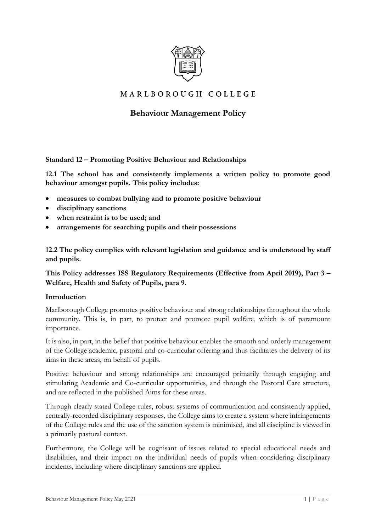

## MARLBOROUGH COLLEGE

# **Behaviour Management Policy**

**Standard 12 – Promoting Positive Behaviour and Relationships** 

**12.1 The school has and consistently implements a written policy to promote good behaviour amongst pupils. This policy includes:** 

- **measures to combat bullying and to promote positive behaviour**
- **disciplinary sanctions**
- **when restraint is to be used; and**
- **arrangements for searching pupils and their possessions**

**12.2 The policy complies with relevant legislation and guidance and is understood by staff and pupils.** 

**This Policy addresses ISS Regulatory Requirements (Effective from April 2019), Part 3 – Welfare, Health and Safety of Pupils, para 9.** 

#### **Introduction**

Marlborough College promotes positive behaviour and strong relationships throughout the whole community. This is, in part, to protect and promote pupil welfare, which is of paramount importance.

It is also, in part, in the belief that positive behaviour enables the smooth and orderly management of the College academic, pastoral and co-curricular offering and thus facilitates the delivery of its aims in these areas, on behalf of pupils.

Positive behaviour and strong relationships are encouraged primarily through engaging and stimulating Academic and Co-curricular opportunities, and through the Pastoral Care structure, and are reflected in the published Aims for these areas.

Through clearly stated College rules, robust systems of communication and consistently applied, centrally-recorded disciplinary responses, the College aims to create a system where infringements of the College rules and the use of the sanction system is minimised, and all discipline is viewed in a primarily pastoral context.

Furthermore, the College will be cognisant of issues related to special educational needs and disabilities, and their impact on the individual needs of pupils when considering disciplinary incidents, including where disciplinary sanctions are applied.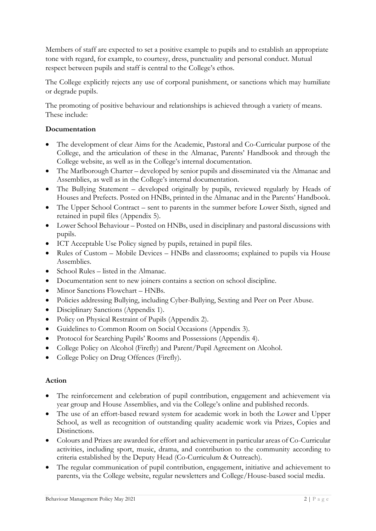Members of staff are expected to set a positive example to pupils and to establish an appropriate tone with regard, for example, to courtesy, dress, punctuality and personal conduct. Mutual respect between pupils and staff is central to the College's ethos.

The College explicitly rejects any use of corporal punishment, or sanctions which may humiliate or degrade pupils.

The promoting of positive behaviour and relationships is achieved through a variety of means. These include:

#### **Documentation**

- The development of clear Aims for the Academic, Pastoral and Co-Curricular purpose of the College, and the articulation of these in the Almanac, Parents' Handbook and through the College website, as well as in the College's internal documentation.
- The Marlborough Charter developed by senior pupils and disseminated via the Almanac and Assemblies, as well as in the College's internal documentation.
- The Bullying Statement developed originally by pupils, reviewed regularly by Heads of Houses and Prefects. Posted on HNBs, printed in the Almanac and in the Parents' Handbook.
- The Upper School Contract sent to parents in the summer before Lower Sixth, signed and retained in pupil files (Appendix 5).
- Lower School Behaviour Posted on HNBs, used in disciplinary and pastoral discussions with pupils.
- ICT Acceptable Use Policy signed by pupils, retained in pupil files.
- Rules of Custom Mobile Devices HNBs and classrooms; explained to pupils via House Assemblies.
- School Rules listed in the Almanac.
- Documentation sent to new joiners contains a section on school discipline.
- Minor Sanctions Flowchart HNBs.
- Policies addressing Bullying, including Cyber-Bullying, Sexting and Peer on Peer Abuse.
- Disciplinary Sanctions (Appendix 1).
- Policy on Physical Restraint of Pupils (Appendix 2).
- Guidelines to Common Room on Social Occasions (Appendix 3).
- Protocol for Searching Pupils' Rooms and Possessions (Appendix 4).
- College Policy on Alcohol (Firefly) and Parent/Pupil Agreement on Alcohol.
- College Policy on Drug Offences (Firefly).

#### **Action**

- The reinforcement and celebration of pupil contribution, engagement and achievement via year group and House Assemblies, and via the College's online and published records.
- The use of an effort-based reward system for academic work in both the Lower and Upper School, as well as recognition of outstanding quality academic work via Prizes, Copies and Distinctions.
- Colours and Prizes are awarded for effort and achievement in particular areas of Co-Curricular activities, including sport, music, drama, and contribution to the community according to criteria established by the Deputy Head (Co-Curriculum & Outreach).
- The regular communication of pupil contribution, engagement, initiative and achievement to parents, via the College website, regular newsletters and College/House-based social media.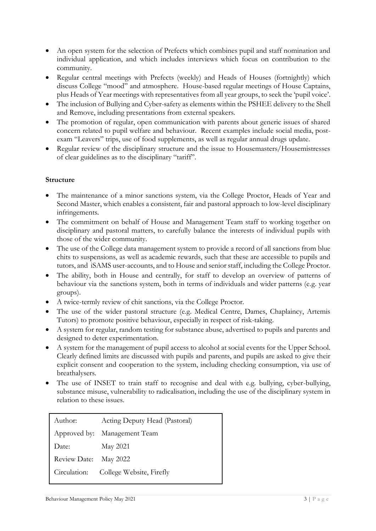- An open system for the selection of Prefects which combines pupil and staff nomination and individual application, and which includes interviews which focus on contribution to the community.
- Regular central meetings with Prefects (weekly) and Heads of Houses (fortnightly) which discuss College "mood" and atmosphere. House-based regular meetings of House Captains, plus Heads of Year meetings with representatives from all year groups, to seek the 'pupil voice'.
- The inclusion of Bullying and Cyber-safety as elements within the PSHEE delivery to the Shell and Remove, including presentations from external speakers.
- The promotion of regular, open communication with parents about generic issues of shared concern related to pupil welfare and behaviour. Recent examples include social media, postexam "Leavers" trips, use of food supplements, as well as regular annual drugs update.
- Regular review of the disciplinary structure and the issue to Housemasters/Housemistresses of clear guidelines as to the disciplinary "tariff".

#### **Structure**

- The maintenance of a minor sanctions system, via the College Proctor, Heads of Year and Second Master, which enables a consistent, fair and pastoral approach to low-level disciplinary infringements.
- The commitment on behalf of House and Management Team staff to working together on disciplinary and pastoral matters, to carefully balance the interests of individual pupils with those of the wider community.
- The use of the College data management system to provide a record of all sanctions from blue chits to suspensions, as well as academic rewards, such that these are accessible to pupils and tutors, and iSAMS user-accounts, and to House and senior staff, including the College Proctor.
- The ability, both in House and centrally, for staff to develop an overview of patterns of behaviour via the sanctions system, both in terms of individuals and wider patterns (e.g. year groups).
- A twice-termly review of chit sanctions, via the College Proctor.
- The use of the wider pastoral structure (e.g. Medical Centre, Dames, Chaplaincy, Artemis Tutors) to promote positive behaviour, especially in respect of risk-taking.
- A system for regular, random testing for substance abuse, advertised to pupils and parents and designed to deter experimentation.
- A system for the management of pupil access to alcohol at social events for the Upper School. Clearly defined limits are discussed with pupils and parents, and pupils are asked to give their explicit consent and cooperation to the system, including checking consumption, via use of breathalysers.
- The use of INSET to train staff to recognise and deal with e.g. bullying, cyber-bullying, substance misuse, vulnerability to radicalisation, including the use of the disciplinary system in relation to these issues.

| Author:               | Acting Deputy Head (Pastoral)         |
|-----------------------|---------------------------------------|
|                       | Approved by: Management Team          |
| Date:                 | May 2021                              |
| Review Date: May 2022 |                                       |
|                       | Circulation: College Website, Firefly |
|                       |                                       |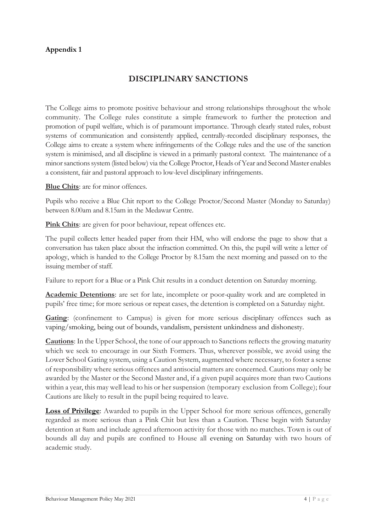# **DISCIPLINARY SANCTIONS**

The College aims to promote positive behaviour and strong relationships throughout the whole community. The College rules constitute a simple framework to further the protection and promotion of pupil welfare, which is of paramount importance. Through clearly stated rules, robust systems of communication and consistently applied, centrally-recorded disciplinary responses, the College aims to create a system where infringements of the College rules and the use of the sanction system is minimised, and all discipline is viewed in a primarily pastoral context. The maintenance of a minor sanctions system (listed below) via the College Proctor, Heads of Year and Second Master enables a consistent, fair and pastoral approach to low-level disciplinary infringements.

**Blue Chits**: are for minor offences.

Pupils who receive a Blue Chit report to the College Proctor/Second Master (Monday to Saturday) between 8.00am and 8.15am in the Medawar Centre.

**Pink Chits**: are given for poor behaviour, repeat offences etc.

The pupil collects letter headed paper from their HM, who will endorse the page to show that a conversation has taken place about the infraction committed. On this, the pupil will write a letter of apology, which is handed to the College Proctor by 8.15am the next morning and passed on to the issuing member of staff.

Failure to report for a Blue or a Pink Chit results in a conduct detention on Saturday morning.

**Academic Detentions**: are set for late, incomplete or poor-quality work and are completed in pupils' free time; for more serious or repeat cases, the detention is completed on a Saturday night.

**Gating**: (confinement to Campus) is given for more serious disciplinary offences such as vaping/smoking, being out of bounds, vandalism, persistent unkindness and dishonesty.

**Cautions**: In the Upper School, the tone of our approach to Sanctions reflects the growing maturity which we seek to encourage in our Sixth Formers. Thus, wherever possible, we avoid using the Lower School Gating system, using a Caution System, augmented where necessary, to foster a sense of responsibility where serious offences and antisocial matters are concerned. Cautions may only be awarded by the Master or the Second Master and, if a given pupil acquires more than two Cautions within a year, this may well lead to his or her suspension (temporary exclusion from College); four Cautions are likely to result in the pupil being required to leave.

**Loss of Privilege**: Awarded to pupils in the Upper School for more serious offences, generally regarded as more serious than a Pink Chit but less than a Caution. These begin with Saturday detention at 8am and include agreed afternoon activity for those with no matches. Town is out of bounds all day and pupils are confined to House all evening on Saturday with two hours of academic study.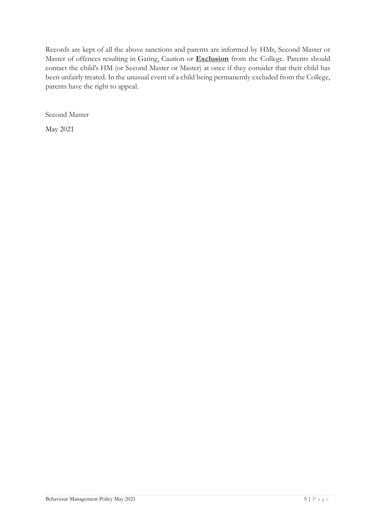Records are kept of all the above sanctions and parents are informed by HMs, Second Master or Master of offences resulting in Gating, Caution or **Exclusion** from the College. Parents should contact the child's HM (or Second Master or Master) at once if they consider that their child has been unfairly treated. In the unusual event of a child being permanently excluded from the College, parents have the right to appeal.

Second Master

May 2021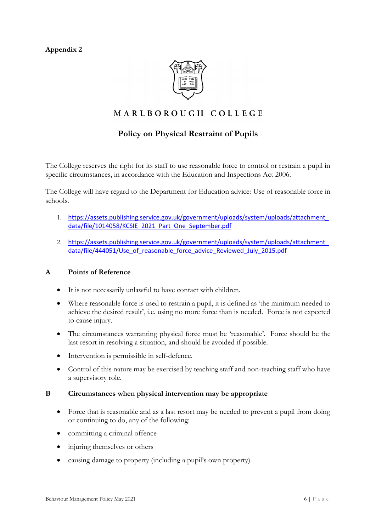

# MARLBOROUGH COLLEGE

## **Policy on Physical Restraint of Pupils**

The College reserves the right for its staff to use reasonable force to control or restrain a pupil in specific circumstances, in accordance with the Education and Inspections Act 2006.

The College will have regard to the Department for Education advice: Use of reasonable force in schools.

- 1. [https://assets.publishing.service.gov.uk/government/uploads/system/uploads/attachment\\_](https://assets.publishing.service.gov.uk/government/uploads/system/uploads/attachment_data/file/1014058/KCSIE_2021_Part_One_September.pdf) [data/file/1014058/KCSIE\\_2021\\_Part\\_One\\_September.pdf](https://assets.publishing.service.gov.uk/government/uploads/system/uploads/attachment_data/file/1014058/KCSIE_2021_Part_One_September.pdf)
- 2. [https://assets.publishing.service.gov.uk/government/uploads/system/uploads/attachment\\_](https://assets.publishing.service.gov.uk/government/uploads/system/uploads/attachment_data/file/444051/Use_of_reasonable_force_advice_Reviewed_July_2015.pdf) [data/file/444051/Use\\_of\\_reasonable\\_force\\_advice\\_Reviewed\\_July\\_2015.pdf](https://assets.publishing.service.gov.uk/government/uploads/system/uploads/attachment_data/file/444051/Use_of_reasonable_force_advice_Reviewed_July_2015.pdf)

#### **A Points of Reference**

- It is not necessarily unlawful to have contact with children.
- Where reasonable force is used to restrain a pupil, it is defined as 'the minimum needed to achieve the desired result', i.e. using no more force than is needed. Force is not expected to cause injury.
- The circumstances warranting physical force must be 'reasonable'. Force should be the last resort in resolving a situation, and should be avoided if possible.
- Intervention is permissible in self-defence.
- Control of this nature may be exercised by teaching staff and non-teaching staff who have a supervisory role.

#### **B Circumstances when physical intervention may be appropriate**

- Force that is reasonable and as a last resort may be needed to prevent a pupil from doing or continuing to do, any of the following:
- committing a criminal offence
- injuring themselves or others
- causing damage to property (including a pupil's own property)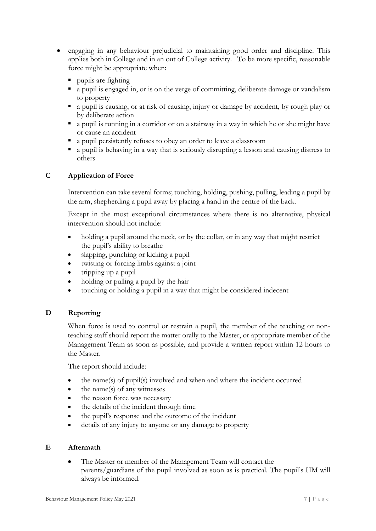- engaging in any behaviour prejudicial to maintaining good order and discipline. This applies both in College and in an out of College activity. To be more specific, reasonable force might be appropriate when:
	- pupils are fighting
	- a pupil is engaged in, or is on the verge of committing, deliberate damage or vandalism to property
	- a pupil is causing, or at risk of causing, injury or damage by accident, by rough play or by deliberate action
	- a pupil is running in a corridor or on a stairway in a way in which he or she might have or cause an accident
	- a pupil persistently refuses to obey an order to leave a classroom
	- a pupil is behaving in a way that is seriously disrupting a lesson and causing distress to others

#### **C Application of Force**

Intervention can take several forms; touching, holding, pushing, pulling, leading a pupil by the arm, shepherding a pupil away by placing a hand in the centre of the back.

Except in the most exceptional circumstances where there is no alternative, physical intervention should not include:

- holding a pupil around the neck, or by the collar, or in any way that might restrict the pupil's ability to breathe
- slapping, punching or kicking a pupil
- twisting or forcing limbs against a joint
- tripping up a pupil
- holding or pulling a pupil by the hair
- touching or holding a pupil in a way that might be considered indecent

#### **D Reporting**

When force is used to control or restrain a pupil, the member of the teaching or nonteaching staff should report the matter orally to the Master, or appropriate member of the Management Team as soon as possible, and provide a written report within 12 hours to the Master.

The report should include:

- the name(s) of pupil(s) involved and when and where the incident occurred
- the name(s) of any witnesses
- the reason force was necessary
- the details of the incident through time
- the pupil's response and the outcome of the incident
- details of any injury to anyone or any damage to property

#### **E Aftermath**

 The Master or member of the Management Team will contact the parents/guardians of the pupil involved as soon as is practical. The pupil's HM will always be informed.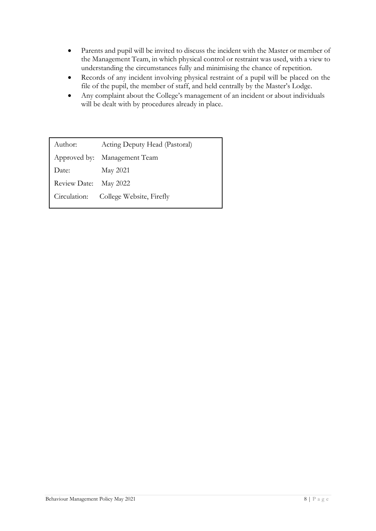- Parents and pupil will be invited to discuss the incident with the Master or member of the Management Team, in which physical control or restraint was used, with a view to understanding the circumstances fully and minimising the chance of repetition.
- Records of any incident involving physical restraint of a pupil will be placed on the file of the pupil, the member of staff, and held centrally by the Master's Lodge.
- Any complaint about the College's management of an incident or about individuals will be dealt with by procedures already in place.

Author: Acting Deputy Head (Pastoral) Approved by: Management Team Date: May 2021 Review Date: May 2022 Circulation: College Website, Firefly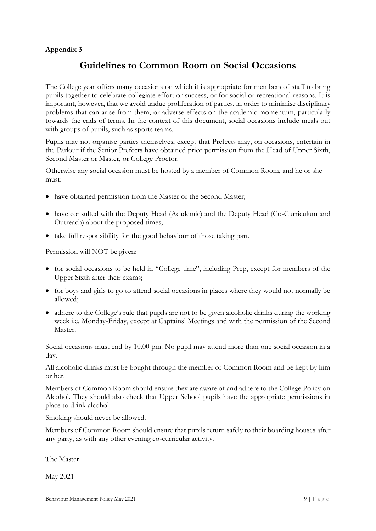# **Guidelines to Common Room on Social Occasions**

The College year offers many occasions on which it is appropriate for members of staff to bring pupils together to celebrate collegiate effort or success, or for social or recreational reasons. It is important, however, that we avoid undue proliferation of parties, in order to minimise disciplinary problems that can arise from them, or adverse effects on the academic momentum, particularly towards the ends of terms. In the context of this document, social occasions include meals out with groups of pupils, such as sports teams.

Pupils may not organise parties themselves, except that Prefects may, on occasions, entertain in the Parlour if the Senior Prefects have obtained prior permission from the Head of Upper Sixth, Second Master or Master, or College Proctor.

Otherwise any social occasion must be hosted by a member of Common Room, and he or she must:

- have obtained permission from the Master or the Second Master;
- have consulted with the Deputy Head (Academic) and the Deputy Head (Co-Curriculum and Outreach) about the proposed times;
- take full responsibility for the good behaviour of those taking part.

Permission will NOT be given:

- for social occasions to be held in "College time", including Prep, except for members of the Upper Sixth after their exams;
- for boys and girls to go to attend social occasions in places where they would not normally be allowed;
- adhere to the College's rule that pupils are not to be given alcoholic drinks during the working week i.e. Monday-Friday, except at Captains' Meetings and with the permission of the Second Master.

Social occasions must end by 10.00 pm. No pupil may attend more than one social occasion in a day.

All alcoholic drinks must be bought through the member of Common Room and be kept by him or her.

Members of Common Room should ensure they are aware of and adhere to the College Policy on Alcohol. They should also check that Upper School pupils have the appropriate permissions in place to drink alcohol.

Smoking should never be allowed.

Members of Common Room should ensure that pupils return safely to their boarding houses after any party, as with any other evening co-curricular activity.

The Master

May 2021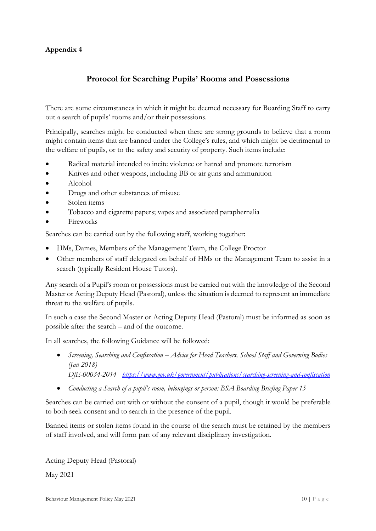# **Protocol for Searching Pupils' Rooms and Possessions**

There are some circumstances in which it might be deemed necessary for Boarding Staff to carry out a search of pupils' rooms and/or their possessions.

Principally, searches might be conducted when there are strong grounds to believe that a room might contain items that are banned under the College's rules, and which might be detrimental to the welfare of pupils, or to the safety and security of property. Such items include:

- Radical material intended to incite violence or hatred and promote terrorism
- Knives and other weapons, including BB or air guns and ammunition
- Alcohol
- Drugs and other substances of misuse
- Stolen items
- Tobacco and cigarette papers; vapes and associated paraphernalia
- Fireworks

Searches can be carried out by the following staff, working together:

- HMs, Dames, Members of the Management Team, the College Proctor
- Other members of staff delegated on behalf of HMs or the Management Team to assist in a search (typically Resident House Tutors).

Any search of a Pupil's room or possessions must be carried out with the knowledge of the Second Master or Acting Deputy Head (Pastoral), unless the situation is deemed to represent an immediate threat to the welfare of pupils.

In such a case the Second Master or Acting Deputy Head (Pastoral) must be informed as soon as possible after the search – and of the outcome.

In all searches, the following Guidance will be followed:

- *Screening, Searching and Confiscation – Advice for Head Teachers, School Staff and Governing Bodies (Jan 2018) DfE-00034-2014 <https://www.gov.uk/government/publications/searching-screening-and-confiscation>*
- *Conducting a Search of a pupil's room, belongings or person: BSA Boarding Briefing Paper 15*

Searches can be carried out with or without the consent of a pupil, though it would be preferable to both seek consent and to search in the presence of the pupil.

Banned items or stolen items found in the course of the search must be retained by the members of staff involved, and will form part of any relevant disciplinary investigation.

Acting Deputy Head (Pastoral)

May 2021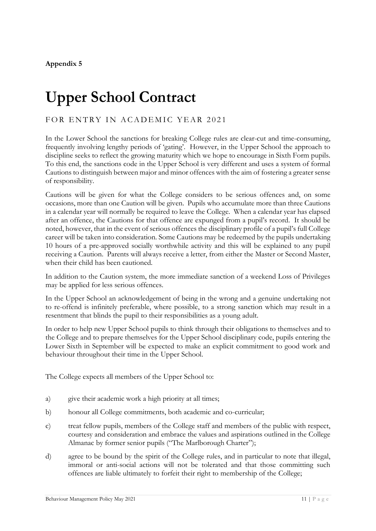# **Upper School Contract**

## FOR ENTRY IN ACADEMIC YEAR 2021

In the Lower School the sanctions for breaking College rules are clear-cut and time-consuming, frequently involving lengthy periods of 'gating'. However, in the Upper School the approach to discipline seeks to reflect the growing maturity which we hope to encourage in Sixth Form pupils. To this end, the sanctions code in the Upper School is very different and uses a system of formal Cautions to distinguish between major and minor offences with the aim of fostering a greater sense of responsibility.

Cautions will be given for what the College considers to be serious offences and, on some occasions, more than one Caution will be given. Pupils who accumulate more than three Cautions in a calendar year will normally be required to leave the College. When a calendar year has elapsed after an offence, the Cautions for that offence are expunged from a pupil's record. It should be noted, however, that in the event of serious offences the disciplinary profile of a pupil's full College career will be taken into consideration. Some Cautions may be redeemed by the pupils undertaking 10 hours of a pre-approved socially worthwhile activity and this will be explained to any pupil receiving a Caution. Parents will always receive a letter, from either the Master or Second Master, when their child has been cautioned.

In addition to the Caution system, the more immediate sanction of a weekend Loss of Privileges may be applied for less serious offences.

In the Upper School an acknowledgement of being in the wrong and a genuine undertaking not to re-offend is infinitely preferable, where possible, to a strong sanction which may result in a resentment that blinds the pupil to their responsibilities as a young adult.

In order to help new Upper School pupils to think through their obligations to themselves and to the College and to prepare themselves for the Upper School disciplinary code, pupils entering the Lower Sixth in September will be expected to make an explicit commitment to good work and behaviour throughout their time in the Upper School.

The College expects all members of the Upper School to:

- a) give their academic work a high priority at all times;
- b) honour all College commitments, both academic and co-curricular;
- c) treat fellow pupils, members of the College staff and members of the public with respect, courtesy and consideration and embrace the values and aspirations outlined in the College Almanac by former senior pupils ("The Marlborough Charter");
- d) agree to be bound by the spirit of the College rules, and in particular to note that illegal, immoral or anti-social actions will not be tolerated and that those committing such offences are liable ultimately to forfeit their right to membership of the College;